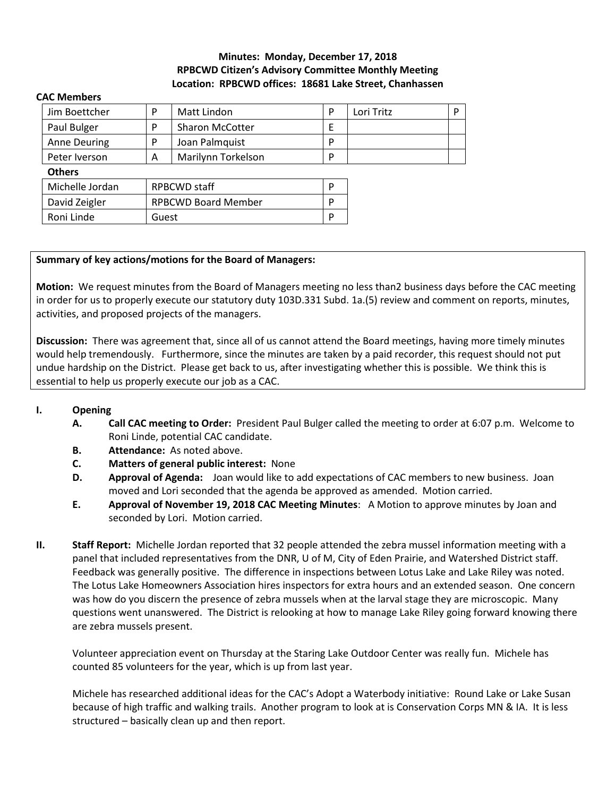# **Minutes: Monday, December 17, 2018 RPBCWD Citizen's Advisory Committee Monthly Meeting Location: RPBCWD offices: 18681 Lake Street, Chanhassen**

| Jim Boettcher       | P                          | <b>Matt Lindon</b>     | P | Lori Tritz | P |
|---------------------|----------------------------|------------------------|---|------------|---|
| Paul Bulger         | P                          | <b>Sharon McCotter</b> | F |            |   |
| <b>Anne Deuring</b> | P                          | Joan Palmquist         | P |            |   |
| Peter Iverson       | Α                          | Marilynn Torkelson     | P |            |   |
| <b>Others</b>       |                            |                        |   |            |   |
| Michelle Jordan     | <b>RPBCWD staff</b>        |                        | P |            |   |
| David Zeigler       | <b>RPBCWD Board Member</b> |                        | P |            |   |
| Roni Linde          | Guest                      |                        | P |            |   |
|                     |                            |                        |   |            |   |

#### **CAC Members**

#### **Summary of key actions/motions for the Board of Managers:**

**Motion:** We request minutes from the Board of Managers meeting no less than2 business days before the CAC meeting in order for us to properly execute our statutory duty 103D.331 Subd. 1a.(5) review and comment on reports, minutes, activities, and proposed projects of the managers.

**Discussion:** There was agreement that, since all of us cannot attend the Board meetings, having more timely minutes would help tremendously. Furthermore, since the minutes are taken by a paid recorder, this request should not put undue hardship on the District. Please get back to us, after investigating whether this is possible. We think this is essential to help us properly execute our job as a CAC.

#### **I. Opening**

- **A. Call CAC meeting to Order:** President Paul Bulger called the meeting to order at 6:07 p.m. Welcome to Roni Linde, potential CAC candidate.
- **B. Attendance:** As noted above.
- **C. Matters of general public interest:** None
- **D. Approval of Agenda:** Joan would like to add expectations of CAC members to new business. Joan moved and Lori seconded that the agenda be approved as amended. Motion carried.
- **E. Approval of November 19, 2018 CAC Meeting Minutes**: A Motion to approve minutes by Joan and seconded by Lori. Motion carried.
- **II. Staff Report:** Michelle Jordan reported that 32 people attended the zebra mussel information meeting with a panel that included representatives from the DNR, U of M, City of Eden Prairie, and Watershed District staff. Feedback was generally positive. The difference in inspections between Lotus Lake and Lake Riley was noted. The Lotus Lake Homeowners Association hires inspectors for extra hours and an extended season. One concern was how do you discern the presence of zebra mussels when at the larval stage they are microscopic. Many questions went unanswered. The District is relooking at how to manage Lake Riley going forward knowing there are zebra mussels present.

Volunteer appreciation event on Thursday at the Staring Lake Outdoor Center was really fun. Michele has counted 85 volunteers for the year, which is up from last year.

Michele has researched additional ideas for the CAC's Adopt a Waterbody initiative: Round Lake or Lake Susan because of high traffic and walking trails. Another program to look at is Conservation Corps MN & IA. It is less structured – basically clean up and then report.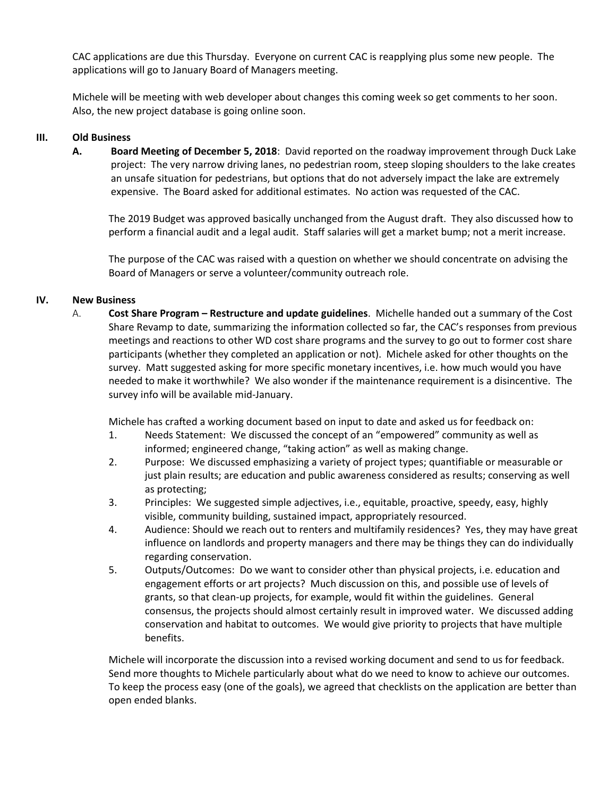CAC applications are due this Thursday. Everyone on current CAC is reapplying plus some new people. The applications will go to January Board of Managers meeting.

Michele will be meeting with web developer about changes this coming week so get comments to her soon. Also, the new project database is going online soon.

### **III. Old Business**

**A. Board Meeting of December 5, 2018**: David reported on the roadway improvement through Duck Lake project: The very narrow driving lanes, no pedestrian room, steep sloping shoulders to the lake creates an unsafe situation for pedestrians, but options that do not adversely impact the lake are extremely expensive. The Board asked for additional estimates. No action was requested of the CAC.

The 2019 Budget was approved basically unchanged from the August draft. They also discussed how to perform a financial audit and a legal audit. Staff salaries will get a market bump; not a merit increase.

The purpose of the CAC was raised with a question on whether we should concentrate on advising the Board of Managers or serve a volunteer/community outreach role.

## **IV. New Business**

A. **Cost Share Program – Restructure and update guidelines**. Michelle handed out a summary of the Cost Share Revamp to date, summarizing the information collected so far, the CAC's responses from previous meetings and reactions to other WD cost share programs and the survey to go out to former cost share participants (whether they completed an application or not). Michele asked for other thoughts on the survey. Matt suggested asking for more specific monetary incentives, i.e. how much would you have needed to make it worthwhile? We also wonder if the maintenance requirement is a disincentive. The survey info will be available mid-January.

Michele has crafted a working document based on input to date and asked us for feedback on:

- 1. Needs Statement: We discussed the concept of an "empowered" community as well as informed; engineered change, "taking action" as well as making change.
- 2. Purpose: We discussed emphasizing a variety of project types; quantifiable or measurable or just plain results; are education and public awareness considered as results; conserving as well as protecting;
- 3. Principles: We suggested simple adjectives, i.e., equitable, proactive, speedy, easy, highly visible, community building, sustained impact, appropriately resourced.
- 4. Audience: Should we reach out to renters and multifamily residences? Yes, they may have great influence on landlords and property managers and there may be things they can do individually regarding conservation.
- 5. Outputs/Outcomes: Do we want to consider other than physical projects, i.e. education and engagement efforts or art projects? Much discussion on this, and possible use of levels of grants, so that clean-up projects, for example, would fit within the guidelines. General consensus, the projects should almost certainly result in improved water. We discussed adding conservation and habitat to outcomes. We would give priority to projects that have multiple benefits.

Michele will incorporate the discussion into a revised working document and send to us for feedback. Send more thoughts to Michele particularly about what do we need to know to achieve our outcomes. To keep the process easy (one of the goals), we agreed that checklists on the application are better than open ended blanks.